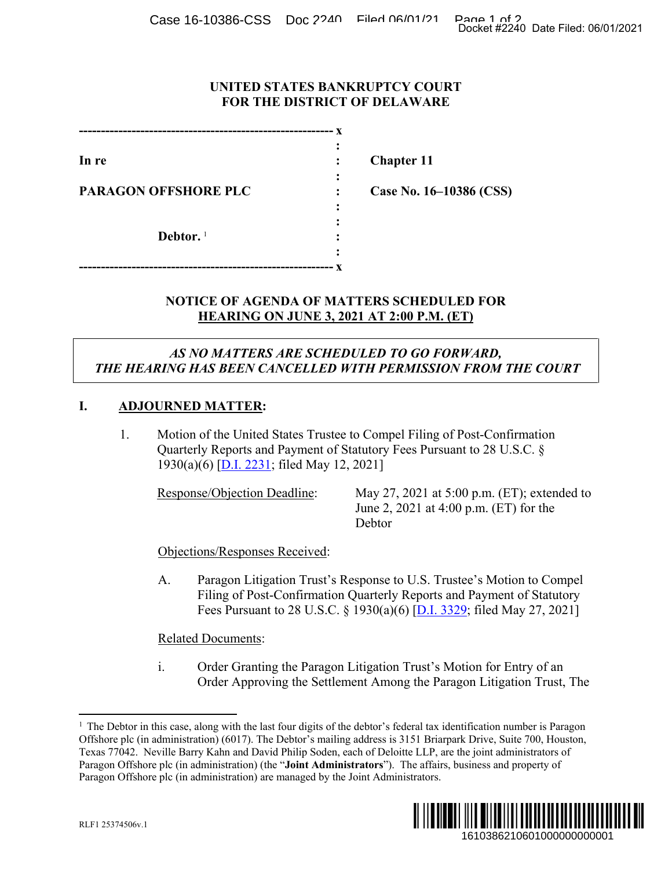Case 16-10386-CSS Doc 2240 Filed 06/01/21 Page 1 of 2<br>Docket #2240 Date Filed: 06/01/2021

## **UNITED STATES BANKRUPTCY COURT FOR THE DISTRICT OF DELAWARE**

|                             | X |
|-----------------------------|---|
|                             |   |
| In re                       |   |
|                             |   |
| <b>PARAGON OFFSHORE PLC</b> |   |
|                             |   |
|                             |   |
| Debtor. $1$                 |   |
|                             |   |
|                             | X |

**In re : Chapter 11**

**Case No. 16–10386 (CSS)** 

## **NOTICE OF AGENDA OF MATTERS SCHEDULED FOR HEARING ON JUNE 3, 2021 AT 2:00 P.M. (ET)**

## *AS NO MATTERS ARE SCHEDULED TO GO FORWARD, THE HEARING HAS BEEN CANCELLED WITH PERMISSION FROM THE COURT*

## **I. ADJOURNED MATTER:**

1. Motion of the United States Trustee to Compel Filing of Post-Confirmation Quarterly Reports and Payment of Statutory Fees Pursuant to 28 U.S.C. § 1930(a)(6) [\[D.I. 2231;](https://ecf.deb.uscourts.gov/doc1/042019788144) filed May 12, 2021]

Response/Objection Deadline: May 27, 2021 at 5:00 p.m. (ET); extended to June 2, 2021 at 4:00 p.m. (ET) for the Debtor

Objections/Responses Received:

A. Paragon Litigation Trust's Response to U.S. Trustee's Motion to Compel Filing of Post-Confirmation Quarterly Reports and Payment of Statutory Fees Pursuant to 28 U.S.C. § 1930(a)(6) [\[D.I. 3329;](https://ecf.deb.uscourts.gov/doc1/042019821436) filed May 27, 2021]

Related Documents:

<span id="page-0-0"></span>i. Order Granting the Paragon Litigation Trust's Motion for Entry of an Order Approving the Settlement Among the Paragon Litigation Trust, The

 $\frac{1}{1}$  $<sup>1</sup>$  The Debtor in this case, along with the last four digits of the debtor's federal tax identification number is Paragon</sup> Offshore plc (in administration) (6017). The Debtor's mailing address is 3151 Briarpark Drive, Suite 700, Houston, Texas 77042. Neville Barry Kahn and David Philip Soden, each of Deloitte LLP, are the joint administrators of Paragon Offshore plc (in administration) (the "**Joint Administrators**"). The affairs, business and property of Paragon Offshore plc (in administration) are managed by the Joint Administrators. 1610386210601000000000001 Docket #2240 Date Filed: 06/01/2021